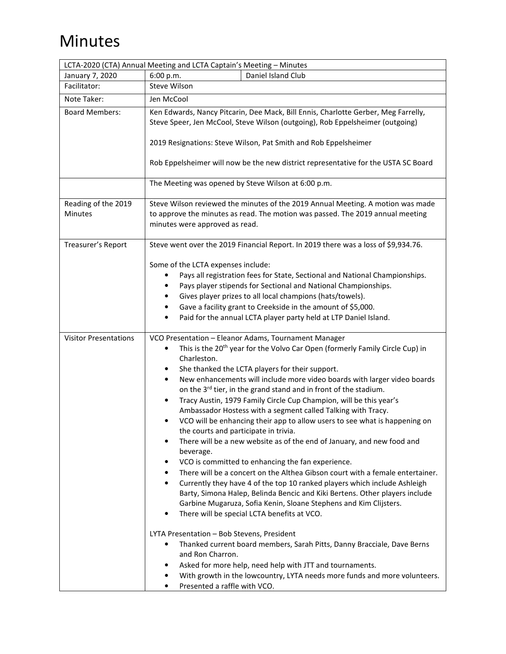## Minutes

|                                       | LCTA-2020 (CTA) Annual Meeting and LCTA Captain's Meeting - Minutes                                                                                                                                                                                                                                                                                                                                                                                                                                                                                                                                                                                                                                                                                                                                                                                                                                                                                                                                                                                                                                                                                                                                                                                                                                                                                                                                                                                                                                                    |
|---------------------------------------|------------------------------------------------------------------------------------------------------------------------------------------------------------------------------------------------------------------------------------------------------------------------------------------------------------------------------------------------------------------------------------------------------------------------------------------------------------------------------------------------------------------------------------------------------------------------------------------------------------------------------------------------------------------------------------------------------------------------------------------------------------------------------------------------------------------------------------------------------------------------------------------------------------------------------------------------------------------------------------------------------------------------------------------------------------------------------------------------------------------------------------------------------------------------------------------------------------------------------------------------------------------------------------------------------------------------------------------------------------------------------------------------------------------------------------------------------------------------------------------------------------------------|
| January 7, 2020                       | 6:00 p.m.<br>Daniel Island Club                                                                                                                                                                                                                                                                                                                                                                                                                                                                                                                                                                                                                                                                                                                                                                                                                                                                                                                                                                                                                                                                                                                                                                                                                                                                                                                                                                                                                                                                                        |
| Facilitator:                          | Steve Wilson                                                                                                                                                                                                                                                                                                                                                                                                                                                                                                                                                                                                                                                                                                                                                                                                                                                                                                                                                                                                                                                                                                                                                                                                                                                                                                                                                                                                                                                                                                           |
| Note Taker:                           | Jen McCool                                                                                                                                                                                                                                                                                                                                                                                                                                                                                                                                                                                                                                                                                                                                                                                                                                                                                                                                                                                                                                                                                                                                                                                                                                                                                                                                                                                                                                                                                                             |
| <b>Board Members:</b>                 | Ken Edwards, Nancy Pitcarin, Dee Mack, Bill Ennis, Charlotte Gerber, Meg Farrelly,<br>Steve Speer, Jen McCool, Steve Wilson (outgoing), Rob Eppelsheimer (outgoing)<br>2019 Resignations: Steve Wilson, Pat Smith and Rob Eppelsheimer<br>Rob Eppelsheimer will now be the new district representative for the USTA SC Board                                                                                                                                                                                                                                                                                                                                                                                                                                                                                                                                                                                                                                                                                                                                                                                                                                                                                                                                                                                                                                                                                                                                                                                           |
|                                       | The Meeting was opened by Steve Wilson at 6:00 p.m.                                                                                                                                                                                                                                                                                                                                                                                                                                                                                                                                                                                                                                                                                                                                                                                                                                                                                                                                                                                                                                                                                                                                                                                                                                                                                                                                                                                                                                                                    |
| Reading of the 2019<br><b>Minutes</b> | Steve Wilson reviewed the minutes of the 2019 Annual Meeting. A motion was made<br>to approve the minutes as read. The motion was passed. The 2019 annual meeting<br>minutes were approved as read.                                                                                                                                                                                                                                                                                                                                                                                                                                                                                                                                                                                                                                                                                                                                                                                                                                                                                                                                                                                                                                                                                                                                                                                                                                                                                                                    |
| Treasurer's Report                    | Steve went over the 2019 Financial Report. In 2019 there was a loss of \$9,934.76.<br>Some of the LCTA expenses include:<br>Pays all registration fees for State, Sectional and National Championships.<br>Pays player stipends for Sectional and National Championships.<br>Gives player prizes to all local champions (hats/towels).<br>Gave a facility grant to Creekside in the amount of \$5,000.<br>Paid for the annual LCTA player party held at LTP Daniel Island.                                                                                                                                                                                                                                                                                                                                                                                                                                                                                                                                                                                                                                                                                                                                                                                                                                                                                                                                                                                                                                             |
| <b>Visitor Presentations</b>          | VCO Presentation - Eleanor Adams, Tournament Manager<br>This is the 20 <sup>th</sup> year for the Volvo Car Open (formerly Family Circle Cup) in<br>٠<br>Charleston.<br>She thanked the LCTA players for their support.<br>٠<br>New enhancements will include more video boards with larger video boards<br>٠<br>on the 3 <sup>rd</sup> tier, in the grand stand and in front of the stadium.<br>Tracy Austin, 1979 Family Circle Cup Champion, will be this year's<br>٠<br>Ambassador Hostess with a segment called Talking with Tracy.<br>VCO will be enhancing their app to allow users to see what is happening on<br>the courts and participate in trivia.<br>There will be a new website as of the end of January, and new food and<br>٠<br>beverage.<br>VCO is committed to enhancing the fan experience.<br>There will be a concert on the Althea Gibson court with a female entertainer.<br>Currently they have 4 of the top 10 ranked players which include Ashleigh<br>٠<br>Barty, Simona Halep, Belinda Bencic and Kiki Bertens. Other players include<br>Garbine Mugaruza, Sofia Kenin, Sloane Stephens and Kim Clijsters.<br>There will be special LCTA benefits at VCO.<br>٠<br>LYTA Presentation - Bob Stevens, President<br>Thanked current board members, Sarah Pitts, Danny Bracciale, Dave Berns<br>٠<br>and Ron Charron.<br>Asked for more help, need help with JTT and tournaments.<br>With growth in the lowcountry, LYTA needs more funds and more volunteers.<br>Presented a raffle with VCO. |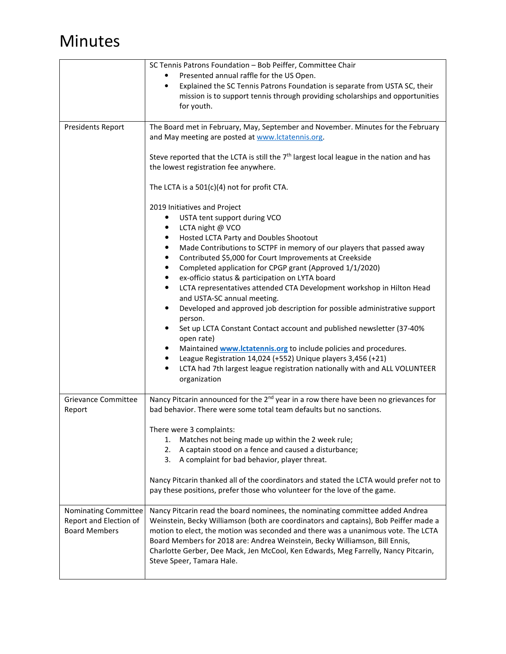## Minutes

|                                                                        | SC Tennis Patrons Foundation - Bob Peiffer, Committee Chair                                                                                                                                                                                                                                                                                                                                                                                                                                                                                                                                                                                                                                                                                                                                                                                                                                                                                        |
|------------------------------------------------------------------------|----------------------------------------------------------------------------------------------------------------------------------------------------------------------------------------------------------------------------------------------------------------------------------------------------------------------------------------------------------------------------------------------------------------------------------------------------------------------------------------------------------------------------------------------------------------------------------------------------------------------------------------------------------------------------------------------------------------------------------------------------------------------------------------------------------------------------------------------------------------------------------------------------------------------------------------------------|
|                                                                        | Presented annual raffle for the US Open.                                                                                                                                                                                                                                                                                                                                                                                                                                                                                                                                                                                                                                                                                                                                                                                                                                                                                                           |
|                                                                        | Explained the SC Tennis Patrons Foundation is separate from USTA SC, their<br>٠<br>mission is to support tennis through providing scholarships and opportunities<br>for youth.                                                                                                                                                                                                                                                                                                                                                                                                                                                                                                                                                                                                                                                                                                                                                                     |
| <b>Presidents Report</b>                                               | The Board met in February, May, September and November. Minutes for the February<br>and May meeting are posted at www.lctatennis.org.                                                                                                                                                                                                                                                                                                                                                                                                                                                                                                                                                                                                                                                                                                                                                                                                              |
|                                                                        | Steve reported that the LCTA is still the 7 <sup>th</sup> largest local league in the nation and has<br>the lowest registration fee anywhere.                                                                                                                                                                                                                                                                                                                                                                                                                                                                                                                                                                                                                                                                                                                                                                                                      |
|                                                                        | The LCTA is a $501(c)(4)$ not for profit CTA.                                                                                                                                                                                                                                                                                                                                                                                                                                                                                                                                                                                                                                                                                                                                                                                                                                                                                                      |
|                                                                        | 2019 Initiatives and Project<br>USTA tent support during VCO<br>٠<br>LCTA night @ VCO<br>Hosted LCTA Party and Doubles Shootout<br>Made Contributions to SCTPF in memory of our players that passed away<br>٠<br>Contributed \$5,000 for Court Improvements at Creekside<br>٠<br>Completed application for CPGP grant (Approved 1/1/2020)<br>٠<br>ex-officio status & participation on LYTA board<br>٠<br>LCTA representatives attended CTA Development workshop in Hilton Head<br>٠<br>and USTA-SC annual meeting.<br>Developed and approved job description for possible administrative support<br>person.<br>Set up LCTA Constant Contact account and published newsletter (37-40%<br>open rate)<br>Maintained <b>www.lctatennis.org</b> to include policies and procedures.<br>League Registration 14,024 (+552) Unique players 3,456 (+21)<br>LCTA had 7th largest league registration nationally with and ALL VOLUNTEER<br>٠<br>organization |
| <b>Grievance Committee</b>                                             | Nancy Pitcarin announced for the 2 <sup>nd</sup> year in a row there have been no grievances for                                                                                                                                                                                                                                                                                                                                                                                                                                                                                                                                                                                                                                                                                                                                                                                                                                                   |
| Report                                                                 | bad behavior. There were some total team defaults but no sanctions.                                                                                                                                                                                                                                                                                                                                                                                                                                                                                                                                                                                                                                                                                                                                                                                                                                                                                |
|                                                                        | There were 3 complaints:<br>1. Matches not being made up within the 2 week rule;<br>A captain stood on a fence and caused a disturbance;<br>2.<br>A complaint for bad behavior, player threat.<br>3.                                                                                                                                                                                                                                                                                                                                                                                                                                                                                                                                                                                                                                                                                                                                               |
|                                                                        | Nancy Pitcarin thanked all of the coordinators and stated the LCTA would prefer not to<br>pay these positions, prefer those who volunteer for the love of the game.                                                                                                                                                                                                                                                                                                                                                                                                                                                                                                                                                                                                                                                                                                                                                                                |
| Nominating Committee<br>Report and Election of<br><b>Board Members</b> | Nancy Pitcarin read the board nominees, the nominating committee added Andrea<br>Weinstein, Becky Williamson (both are coordinators and captains), Bob Peiffer made a<br>motion to elect, the motion was seconded and there was a unanimous vote. The LCTA<br>Board Members for 2018 are: Andrea Weinstein, Becky Williamson, Bill Ennis,<br>Charlotte Gerber, Dee Mack, Jen McCool, Ken Edwards, Meg Farrelly, Nancy Pitcarin,<br>Steve Speer, Tamara Hale.                                                                                                                                                                                                                                                                                                                                                                                                                                                                                       |